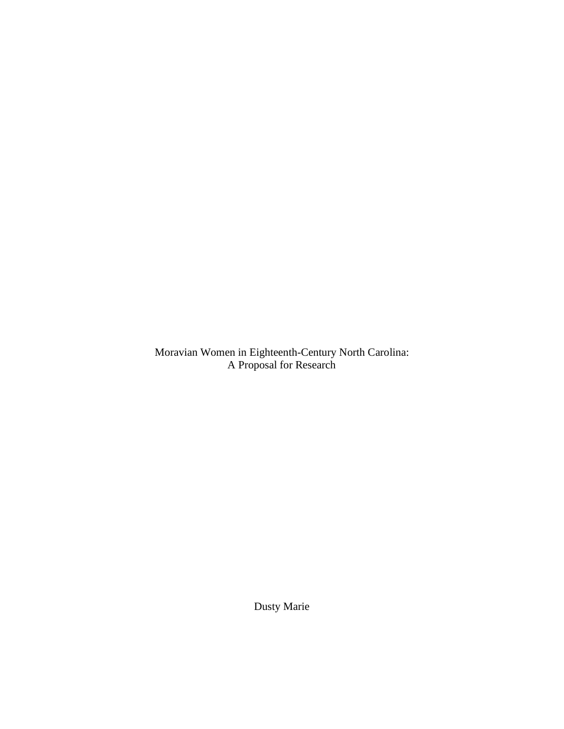Moravian Women in Eighteenth-Century North Carolina: A Proposal for Research

Dusty Marie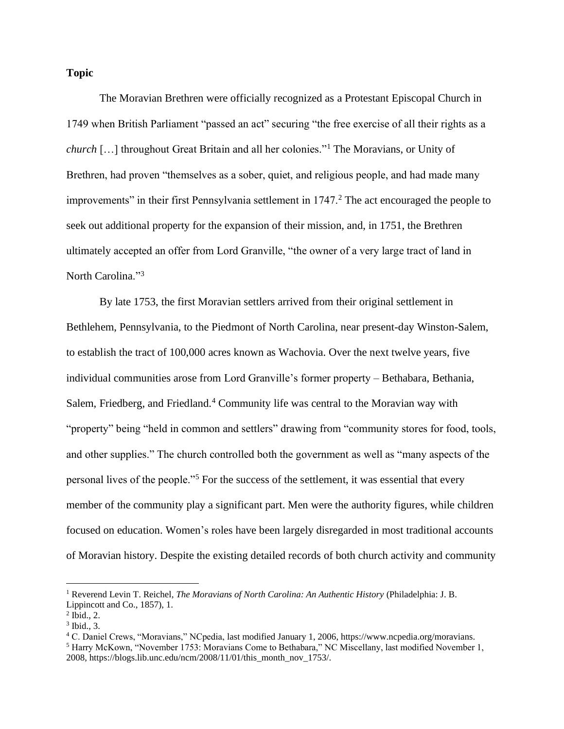## **Topic**

The Moravian Brethren were officially recognized as a Protestant Episcopal Church in 1749 when British Parliament "passed an act" securing "the free exercise of all their rights as a *church* […] throughout Great Britain and all her colonies."<sup>1</sup> The Moravians, or Unity of Brethren, had proven "themselves as a sober, quiet, and religious people, and had made many improvements" in their first Pennsylvania settlement in 1747.<sup>2</sup> The act encouraged the people to seek out additional property for the expansion of their mission, and, in 1751, the Brethren ultimately accepted an offer from Lord Granville, "the owner of a very large tract of land in North Carolina."<sup>3</sup>

By late 1753, the first Moravian settlers arrived from their original settlement in Bethlehem, Pennsylvania, to the Piedmont of North Carolina, near present-day Winston-Salem, to establish the tract of 100,000 acres known as Wachovia. Over the next twelve years, five individual communities arose from Lord Granville's former property – Bethabara, Bethania, Salem, Friedberg, and Friedland.<sup>4</sup> Community life was central to the Moravian way with "property" being "held in common and settlers" drawing from "community stores for food, tools, and other supplies." The church controlled both the government as well as "many aspects of the personal lives of the people."<sup>5</sup> For the success of the settlement, it was essential that every member of the community play a significant part. Men were the authority figures, while children focused on education. Women's roles have been largely disregarded in most traditional accounts of Moravian history. Despite the existing detailed records of both church activity and community

<sup>1</sup> Reverend Levin T. Reichel, *The Moravians of North Carolina: An Authentic History* (Philadelphia: J. B. Lippincott and Co., 1857), 1.

<sup>2</sup> Ibid., 2.

 $3$  Ibid., 3.

<sup>4</sup> C. Daniel Crews, "Moravians," NCpedia, last modified January 1, 2006, https://www.ncpedia.org/moravians.

<sup>5</sup> Harry McKown, "November 1753: Moravians Come to Bethabara," NC Miscellany, last modified November 1, 2008, https://blogs.lib.unc.edu/ncm/2008/11/01/this\_month\_nov\_1753/.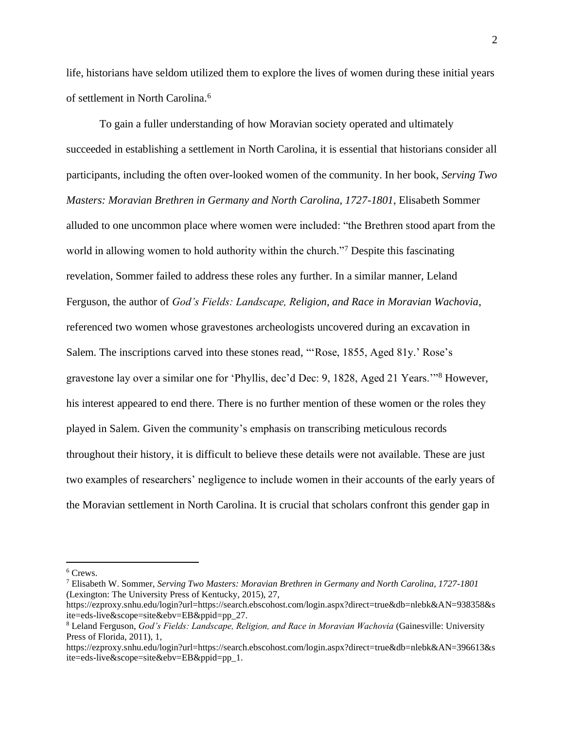life, historians have seldom utilized them to explore the lives of women during these initial years of settlement in North Carolina. 6

To gain a fuller understanding of how Moravian society operated and ultimately succeeded in establishing a settlement in North Carolina, it is essential that historians consider all participants, including the often over-looked women of the community. In her book, *Serving Two Masters: Moravian Brethren in Germany and North Carolina, 1727-1801*, Elisabeth Sommer alluded to one uncommon place where women were included: "the Brethren stood apart from the world in allowing women to hold authority within the church."<sup>7</sup> Despite this fascinating revelation, Sommer failed to address these roles any further. In a similar manner, Leland Ferguson, the author of *God's Fields: Landscape, Religion, and Race in Moravian Wachovia*, referenced two women whose gravestones archeologists uncovered during an excavation in Salem. The inscriptions carved into these stones read, "'Rose, 1855, Aged 81y.' Rose's gravestone lay over a similar one for 'Phyllis, dec'd Dec: 9, 1828, Aged 21 Years.'"<sup>8</sup> However, his interest appeared to end there. There is no further mention of these women or the roles they played in Salem. Given the community's emphasis on transcribing meticulous records throughout their history, it is difficult to believe these details were not available. These are just two examples of researchers' negligence to include women in their accounts of the early years of the Moravian settlement in North Carolina. It is crucial that scholars confront this gender gap in

<sup>6</sup> Crews.

<sup>7</sup> Elisabeth W. Sommer, *Serving Two Masters: Moravian Brethren in Germany and North Carolina, 1727-1801* (Lexington: The University Press of Kentucky, 2015), 27,

https://ezproxy.snhu.edu/login?url=https://search.ebscohost.com/login.aspx?direct=true&db=nlebk&AN=938358&s ite=eds-live&scope=site&ebv=EB&ppid=pp\_27.

<sup>8</sup> Leland Ferguson, *God's Fields: Landscape, Religion, and Race in Moravian Wachovia* (Gainesville: University Press of Florida, 2011), 1,

https://ezproxy.snhu.edu/login?url=https://search.ebscohost.com/login.aspx?direct=true&db=nlebk&AN=396613&s ite=eds-live&scope=site&ebv=EB&ppid=pp\_1.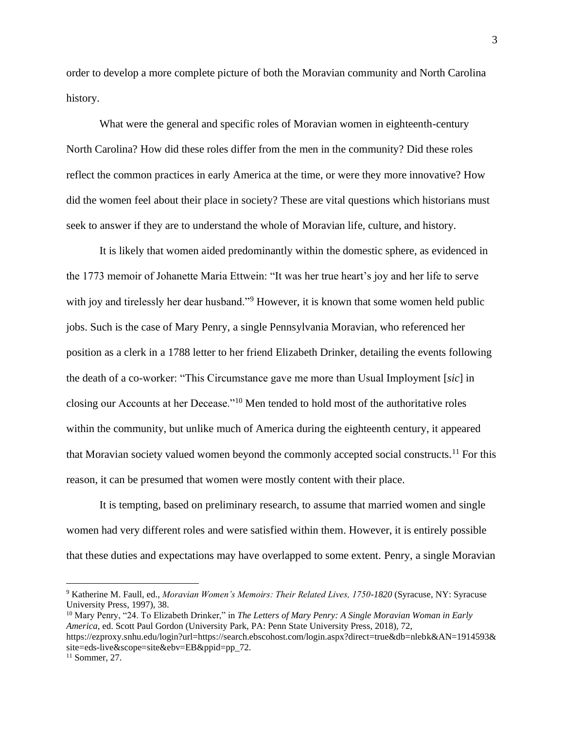order to develop a more complete picture of both the Moravian community and North Carolina history.

What were the general and specific roles of Moravian women in eighteenth-century North Carolina? How did these roles differ from the men in the community? Did these roles reflect the common practices in early America at the time, or were they more innovative? How did the women feel about their place in society? These are vital questions which historians must seek to answer if they are to understand the whole of Moravian life, culture, and history.

It is likely that women aided predominantly within the domestic sphere, as evidenced in the 1773 memoir of Johanette Maria Ettwein: "It was her true heart's joy and her life to serve with joy and tirelessly her dear husband."<sup>9</sup> However, it is known that some women held public jobs. Such is the case of Mary Penry, a single Pennsylvania Moravian, who referenced her position as a clerk in a 1788 letter to her friend Elizabeth Drinker, detailing the events following the death of a co-worker: "This Circumstance gave me more than Usual Imployment [*sic*] in closing our Accounts at her Decease."<sup>10</sup> Men tended to hold most of the authoritative roles within the community, but unlike much of America during the eighteenth century, it appeared that Moravian society valued women beyond the commonly accepted social constructs.<sup>11</sup> For this reason, it can be presumed that women were mostly content with their place.

It is tempting, based on preliminary research, to assume that married women and single women had very different roles and were satisfied within them. However, it is entirely possible that these duties and expectations may have overlapped to some extent. Penry, a single Moravian

<sup>10</sup> Mary Penry, "24. To Elizabeth Drinker," in *The Letters of Mary Penry: A Single Moravian Woman in Early America*, ed. Scott Paul Gordon (University Park, PA: Penn State University Press, 2018), 72, https://ezproxy.snhu.edu/login?url=https://search.ebscohost.com/login.aspx?direct=true&db=nlebk&AN=1914593& site=eds-live&scope=site&ebv=EB&ppid=pp\_72.

<sup>9</sup> Katherine M. Faull, ed., *Moravian Women's Memoirs: Their Related Lives, 1750-1820* (Syracuse, NY: Syracuse University Press, 1997), 38.

 $11$  Sommer, 27.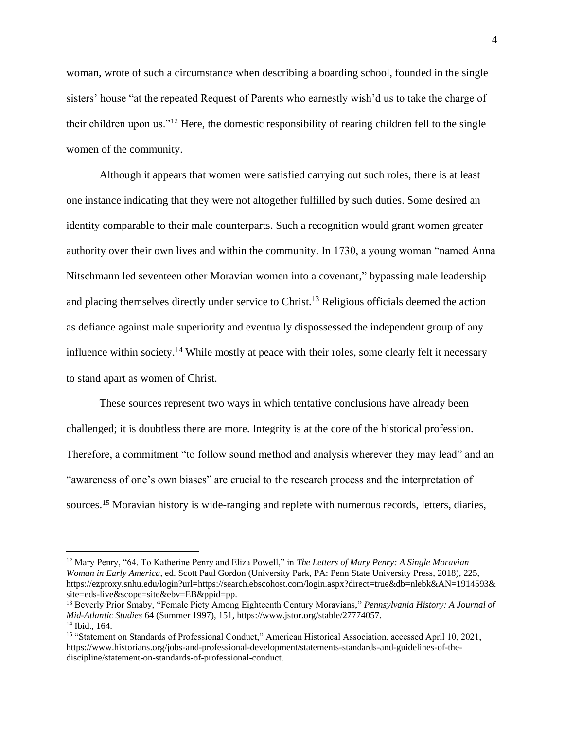woman, wrote of such a circumstance when describing a boarding school, founded in the single sisters' house "at the repeated Request of Parents who earnestly wish'd us to take the charge of their children upon us."<sup>12</sup> Here, the domestic responsibility of rearing children fell to the single women of the community.

Although it appears that women were satisfied carrying out such roles, there is at least one instance indicating that they were not altogether fulfilled by such duties. Some desired an identity comparable to their male counterparts. Such a recognition would grant women greater authority over their own lives and within the community. In 1730, a young woman "named Anna Nitschmann led seventeen other Moravian women into a covenant," bypassing male leadership and placing themselves directly under service to Christ.<sup>13</sup> Religious officials deemed the action as defiance against male superiority and eventually dispossessed the independent group of any influence within society.<sup>14</sup> While mostly at peace with their roles, some clearly felt it necessary to stand apart as women of Christ.

These sources represent two ways in which tentative conclusions have already been challenged; it is doubtless there are more. Integrity is at the core of the historical profession. Therefore, a commitment "to follow sound method and analysis wherever they may lead" and an "awareness of one's own biases" are crucial to the research process and the interpretation of sources.<sup>15</sup> Moravian history is wide-ranging and replete with numerous records, letters, diaries,

<sup>12</sup> Mary Penry, "64. To Katherine Penry and Eliza Powell," in *The Letters of Mary Penry: A Single Moravian Woman in Early America*, ed. Scott Paul Gordon (University Park, PA: Penn State University Press, 2018), 225, https://ezproxy.snhu.edu/login?url=https://search.ebscohost.com/login.aspx?direct=true&db=nlebk&AN=1914593& site=eds-live&scope=site&ebv=EB&ppid=pp.

<sup>13</sup> Beverly Prior Smaby, "Female Piety Among Eighteenth Century Moravians," *Pennsylvania History: A Journal of Mid-Atlantic Studies* 64 (Summer 1997), 151, https://www.jstor.org/stable/27774057. <sup>14</sup> Ibid., 164.

<sup>&</sup>lt;sup>15</sup> "Statement on Standards of Professional Conduct," American Historical Association, accessed April 10, 2021, https://www.historians.org/jobs-and-professional-development/statements-standards-and-guidelines-of-thediscipline/statement-on-standards-of-professional-conduct.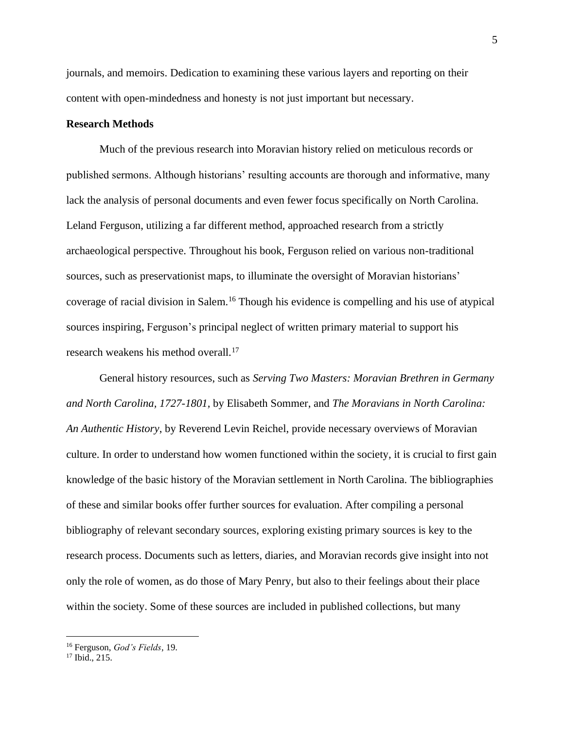journals, and memoirs. Dedication to examining these various layers and reporting on their content with open-mindedness and honesty is not just important but necessary.

## **Research Methods**

Much of the previous research into Moravian history relied on meticulous records or published sermons. Although historians' resulting accounts are thorough and informative, many lack the analysis of personal documents and even fewer focus specifically on North Carolina. Leland Ferguson, utilizing a far different method, approached research from a strictly archaeological perspective. Throughout his book, Ferguson relied on various non-traditional sources, such as preservationist maps, to illuminate the oversight of Moravian historians' coverage of racial division in Salem. <sup>16</sup> Though his evidence is compelling and his use of atypical sources inspiring, Ferguson's principal neglect of written primary material to support his research weakens his method overall.<sup>17</sup>

General history resources, such as *Serving Two Masters: Moravian Brethren in Germany and North Carolina, 1727-1801,* by Elisabeth Sommer, and *The Moravians in North Carolina: An Authentic History*, by Reverend Levin Reichel, provide necessary overviews of Moravian culture. In order to understand how women functioned within the society, it is crucial to first gain knowledge of the basic history of the Moravian settlement in North Carolina. The bibliographies of these and similar books offer further sources for evaluation. After compiling a personal bibliography of relevant secondary sources, exploring existing primary sources is key to the research process. Documents such as letters, diaries, and Moravian records give insight into not only the role of women, as do those of Mary Penry, but also to their feelings about their place within the society. Some of these sources are included in published collections, but many

<sup>16</sup> Ferguson, *God's Fields*, 19.

 $17$  Ibid., 215.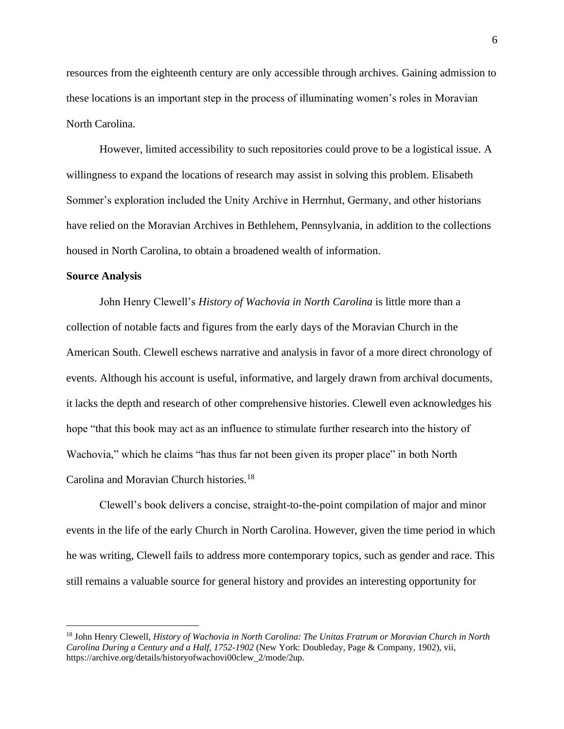resources from the eighteenth century are only accessible through archives. Gaining admission to these locations is an important step in the process of illuminating women's roles in Moravian North Carolina.

However, limited accessibility to such repositories could prove to be a logistical issue. A willingness to expand the locations of research may assist in solving this problem. Elisabeth Sommer's exploration included the Unity Archive in Herrnhut, Germany, and other historians have relied on the Moravian Archives in Bethlehem, Pennsylvania, in addition to the collections housed in North Carolina, to obtain a broadened wealth of information.

## **Source Analysis**

John Henry Clewell's *History of Wachovia in North Carolina* is little more than a collection of notable facts and figures from the early days of the Moravian Church in the American South. Clewell eschews narrative and analysis in favor of a more direct chronology of events. Although his account is useful, informative, and largely drawn from archival documents, it lacks the depth and research of other comprehensive histories. Clewell even acknowledges his hope "that this book may act as an influence to stimulate further research into the history of Wachovia," which he claims "has thus far not been given its proper place" in both North Carolina and Moravian Church histories.<sup>18</sup>

Clewell's book delivers a concise, straight-to-the-point compilation of major and minor events in the life of the early Church in North Carolina. However, given the time period in which he was writing, Clewell fails to address more contemporary topics, such as gender and race. This still remains a valuable source for general history and provides an interesting opportunity for

<sup>18</sup> John Henry Clewell, *History of Wachovia in North Carolina: The Unitas Fratrum or Moravian Church in North Carolina During a Century and a Half, 1752-1902* (New York: Doubleday, Page & Company, 1902), vii, https://archive.org/details/historyofwachovi00clew\_2/mode/2up.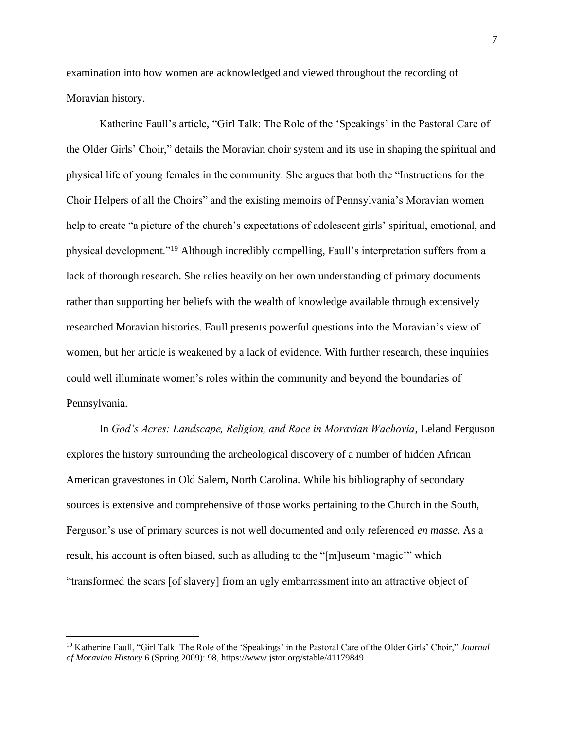examination into how women are acknowledged and viewed throughout the recording of Moravian history.

Katherine Faull's article, "Girl Talk: The Role of the 'Speakings' in the Pastoral Care of the Older Girls' Choir," details the Moravian choir system and its use in shaping the spiritual and physical life of young females in the community. She argues that both the "Instructions for the Choir Helpers of all the Choirs" and the existing memoirs of Pennsylvania's Moravian women help to create "a picture of the church's expectations of adolescent girls' spiritual, emotional, and physical development."<sup>19</sup> Although incredibly compelling, Faull's interpretation suffers from a lack of thorough research. She relies heavily on her own understanding of primary documents rather than supporting her beliefs with the wealth of knowledge available through extensively researched Moravian histories. Faull presents powerful questions into the Moravian's view of women, but her article is weakened by a lack of evidence. With further research, these inquiries could well illuminate women's roles within the community and beyond the boundaries of Pennsylvania.

In *God's Acres: Landscape, Religion, and Race in Moravian Wachovia*, Leland Ferguson explores the history surrounding the archeological discovery of a number of hidden African American gravestones in Old Salem, North Carolina. While his bibliography of secondary sources is extensive and comprehensive of those works pertaining to the Church in the South, Ferguson's use of primary sources is not well documented and only referenced *en masse*. As a result, his account is often biased, such as alluding to the "[m]useum 'magic'" which "transformed the scars [of slavery] from an ugly embarrassment into an attractive object of

<sup>19</sup> Katherine Faull, "Girl Talk: The Role of the 'Speakings' in the Pastoral Care of the Older Girls' Choir," *Journal of Moravian History* 6 (Spring 2009): 98, https://www.jstor.org/stable/41179849.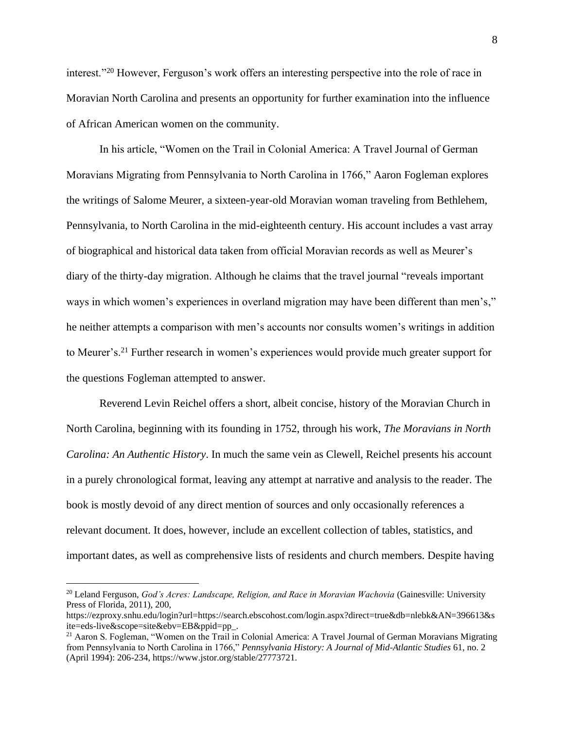interest."<sup>20</sup> However, Ferguson's work offers an interesting perspective into the role of race in Moravian North Carolina and presents an opportunity for further examination into the influence of African American women on the community.

In his article, "Women on the Trail in Colonial America: A Travel Journal of German Moravians Migrating from Pennsylvania to North Carolina in 1766," Aaron Fogleman explores the writings of Salome Meurer, a sixteen-year-old Moravian woman traveling from Bethlehem, Pennsylvania, to North Carolina in the mid-eighteenth century. His account includes a vast array of biographical and historical data taken from official Moravian records as well as Meurer's diary of the thirty-day migration. Although he claims that the travel journal "reveals important ways in which women's experiences in overland migration may have been different than men's," he neither attempts a comparison with men's accounts nor consults women's writings in addition to Meurer's.<sup>21</sup> Further research in women's experiences would provide much greater support for the questions Fogleman attempted to answer.

Reverend Levin Reichel offers a short, albeit concise, history of the Moravian Church in North Carolina, beginning with its founding in 1752, through his work, *The Moravians in North Carolina: An Authentic History*. In much the same vein as Clewell, Reichel presents his account in a purely chronological format, leaving any attempt at narrative and analysis to the reader. The book is mostly devoid of any direct mention of sources and only occasionally references a relevant document. It does, however, include an excellent collection of tables, statistics, and important dates, as well as comprehensive lists of residents and church members. Despite having

<sup>20</sup> Leland Ferguson, *God's Acres: Landscape, Religion, and Race in Moravian Wachovia* (Gainesville: University Press of Florida, 2011), 200,

https://ezproxy.snhu.edu/login?url=https://search.ebscohost.com/login.aspx?direct=true&db=nlebk&AN=396613&s ite=eds-live&scope=site&ebv=EB&ppid=pp\_.

<sup>&</sup>lt;sup>21</sup> Aaron S. Fogleman, "Women on the Trail in Colonial America: A Travel Journal of German Moravians Migrating from Pennsylvania to North Carolina in 1766," *Pennsylvania History: A Journal of Mid-Atlantic Studies* 61, no. 2 (April 1994): 206-234, https://www.jstor.org/stable/27773721.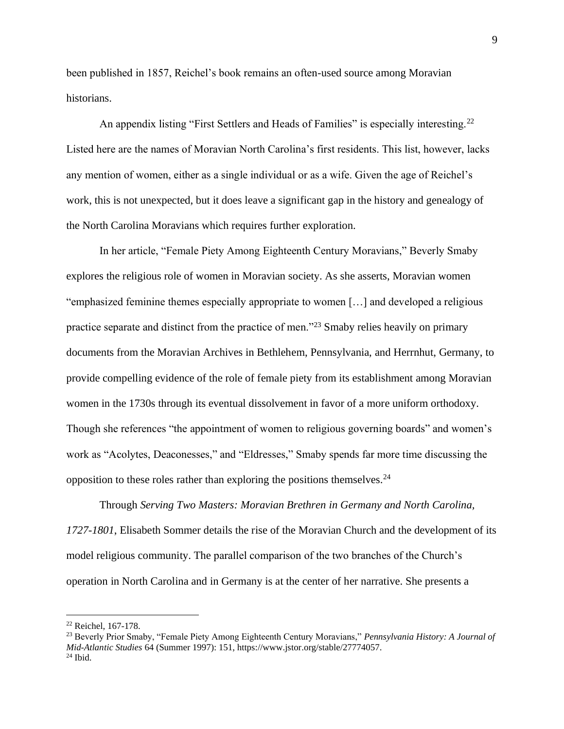been published in 1857, Reichel's book remains an often-used source among Moravian historians.

An appendix listing "First Settlers and Heads of Families" is especially interesting.<sup>22</sup> Listed here are the names of Moravian North Carolina's first residents. This list, however, lacks any mention of women, either as a single individual or as a wife. Given the age of Reichel's work, this is not unexpected, but it does leave a significant gap in the history and genealogy of the North Carolina Moravians which requires further exploration.

In her article, "Female Piety Among Eighteenth Century Moravians," Beverly Smaby explores the religious role of women in Moravian society. As she asserts, Moravian women "emphasized feminine themes especially appropriate to women […] and developed a religious practice separate and distinct from the practice of men."<sup>23</sup> Smaby relies heavily on primary documents from the Moravian Archives in Bethlehem, Pennsylvania, and Herrnhut, Germany, to provide compelling evidence of the role of female piety from its establishment among Moravian women in the 1730s through its eventual dissolvement in favor of a more uniform orthodoxy. Though she references "the appointment of women to religious governing boards" and women's work as "Acolytes, Deaconesses," and "Eldresses," Smaby spends far more time discussing the opposition to these roles rather than exploring the positions themselves.<sup>24</sup>

Through *Serving Two Masters: Moravian Brethren in Germany and North Carolina, 1727-1801*, Elisabeth Sommer details the rise of the Moravian Church and the development of its model religious community. The parallel comparison of the two branches of the Church's operation in North Carolina and in Germany is at the center of her narrative. She presents a

<sup>22</sup> Reichel, 167-178.

<sup>23</sup> Beverly Prior Smaby, "Female Piety Among Eighteenth Century Moravians," *Pennsylvania History: A Journal of Mid-Atlantic Studies* 64 (Summer 1997): 151, https://www.jstor.org/stable/27774057.  $24$  Ibid.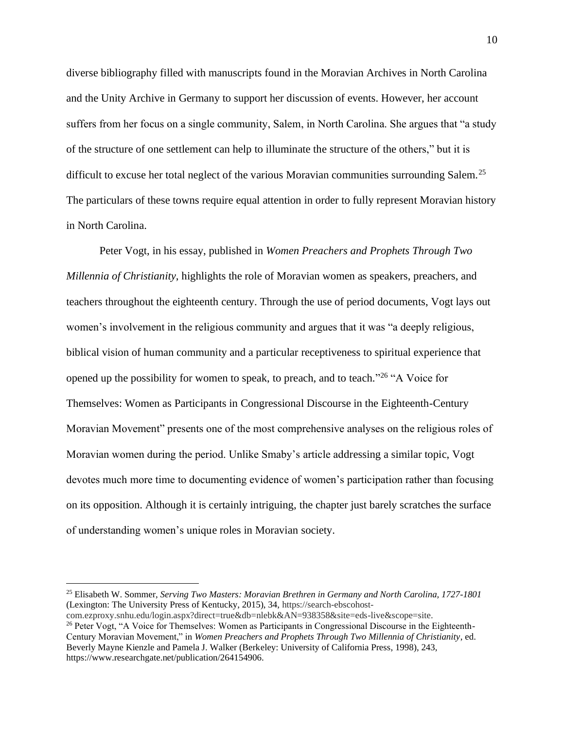diverse bibliography filled with manuscripts found in the Moravian Archives in North Carolina and the Unity Archive in Germany to support her discussion of events. However, her account suffers from her focus on a single community, Salem, in North Carolina. She argues that "a study of the structure of one settlement can help to illuminate the structure of the others," but it is difficult to excuse her total neglect of the various Moravian communities surrounding Salem.<sup>25</sup> The particulars of these towns require equal attention in order to fully represent Moravian history in North Carolina.

Peter Vogt, in his essay, published in *Women Preachers and Prophets Through Two Millennia of Christianity*, highlights the role of Moravian women as speakers, preachers, and teachers throughout the eighteenth century. Through the use of period documents, Vogt lays out women's involvement in the religious community and argues that it was "a deeply religious, biblical vision of human community and a particular receptiveness to spiritual experience that opened up the possibility for women to speak, to preach, and to teach."<sup>26</sup> "A Voice for Themselves: Women as Participants in Congressional Discourse in the Eighteenth-Century Moravian Movement" presents one of the most comprehensive analyses on the religious roles of Moravian women during the period. Unlike Smaby's article addressing a similar topic, Vogt devotes much more time to documenting evidence of women's participation rather than focusing on its opposition. Although it is certainly intriguing, the chapter just barely scratches the surface of understanding women's unique roles in Moravian society.

<sup>25</sup> Elisabeth W. Sommer, *Serving Two Masters: Moravian Brethren in Germany and North Carolina, 1727-1801* (Lexington: The University Press of Kentucky, 2015), 34, https://search-ebscohost-

com.ezproxy.snhu.edu/login.aspx?direct=true&db=nlebk&AN=938358&site=eds-live&scope=site.

<sup>&</sup>lt;sup>26</sup> Peter Vogt, "A Voice for Themselves: Women as Participants in Congressional Discourse in the Eighteenth-Century Moravian Movement," in *Women Preachers and Prophets Through Two Millennia of Christianity*, ed. Beverly Mayne Kienzle and Pamela J. Walker (Berkeley: University of California Press, 1998), 243, https://www.researchgate.net/publication/264154906.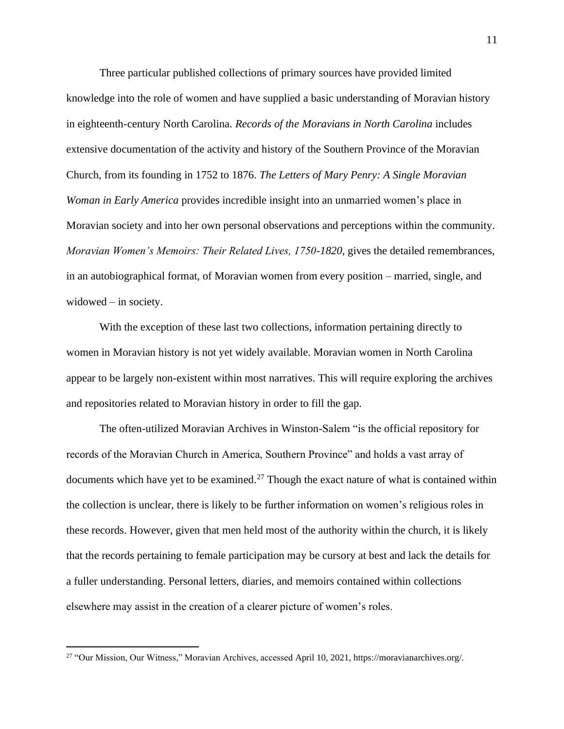Three particular published collections of primary sources have provided limited knowledge into the role of women and have supplied a basic understanding of Moravian history in eighteenth-century North Carolina. *Records of the Moravians in North Carolina* includes extensive documentation of the activity and history of the Southern Province of the Moravian Church, from its founding in 1752 to 1876. *The Letters of Mary Penry: A Single Moravian Woman in Early America* provides incredible insight into an unmarried women's place in Moravian society and into her own personal observations and perceptions within the community. *Moravian Women's Memoirs: Their Related Lives, 1750-1820, gives the detailed remembrances,* in an autobiographical format, of Moravian women from every position – married, single, and widowed – in society.

With the exception of these last two collections, information pertaining directly to women in Moravian history is not yet widely available. Moravian women in North Carolina appear to be largely non-existent within most narratives. This will require exploring the archives and repositories related to Moravian history in order to fill the gap.

The often-utilized Moravian Archives in Winston-Salem "is the official repository for records of the Moravian Church in America, Southern Province" and holds a vast array of documents which have yet to be examined.<sup>27</sup> Though the exact nature of what is contained within the collection is unclear, there is likely to be further information on women's religious roles in these records. However, given that men held most of the authority within the church, it is likely that the records pertaining to female participation may be cursory at best and lack the details for a fuller understanding. Personal letters, diaries, and memoirs contained within collections elsewhere may assist in the creation of a clearer picture of women's roles.

<sup>27</sup> "Our Mission, Our Witness," Moravian Archives, accessed April 10, 2021, https://moravianarchives.org/.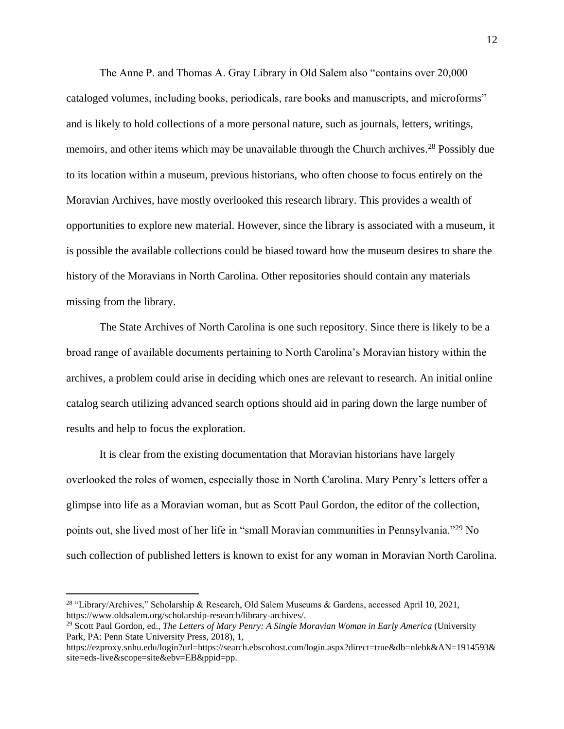The Anne P. and Thomas A. Gray Library in Old Salem also "contains over 20,000 cataloged volumes, including books, periodicals, rare books and manuscripts, and microforms" and is likely to hold collections of a more personal nature, such as journals, letters, writings, memoirs, and other items which may be unavailable through the Church archives.<sup>28</sup> Possibly due to its location within a museum, previous historians, who often choose to focus entirely on the Moravian Archives, have mostly overlooked this research library. This provides a wealth of opportunities to explore new material. However, since the library is associated with a museum, it is possible the available collections could be biased toward how the museum desires to share the history of the Moravians in North Carolina. Other repositories should contain any materials missing from the library.

The State Archives of North Carolina is one such repository. Since there is likely to be a broad range of available documents pertaining to North Carolina's Moravian history within the archives, a problem could arise in deciding which ones are relevant to research. An initial online catalog search utilizing advanced search options should aid in paring down the large number of results and help to focus the exploration.

It is clear from the existing documentation that Moravian historians have largely overlooked the roles of women, especially those in North Carolina. Mary Penry's letters offer a glimpse into life as a Moravian woman, but as Scott Paul Gordon, the editor of the collection, points out, she lived most of her life in "small Moravian communities in Pennsylvania."<sup>29</sup> No such collection of published letters is known to exist for any woman in Moravian North Carolina.

<sup>&</sup>lt;sup>28</sup> "Library/Archives," Scholarship & Research, Old Salem Museums & Gardens, accessed April 10, 2021, https://www.oldsalem.org/scholarship-research/library-archives/.

<sup>29</sup> Scott Paul Gordon, ed., *The Letters of Mary Penry: A Single Moravian Woman in Early America* (University Park, PA: Penn State University Press, 2018), 1,

https://ezproxy.snhu.edu/login?url=https://search.ebscohost.com/login.aspx?direct=true&db=nlebk&AN=1914593& site=eds-live&scope=site&ebv=EB&ppid=pp.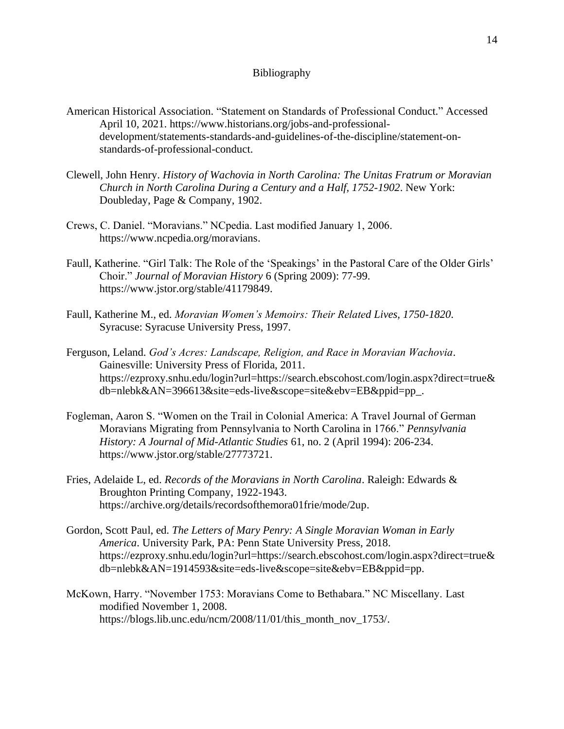## Bibliography

- American Historical Association. "Statement on Standards of Professional Conduct." Accessed April 10, 2021. https://www.historians.org/jobs-and-professionaldevelopment/statements-standards-and-guidelines-of-the-discipline/statement-onstandards-of-professional-conduct.
- Clewell, John Henry. *History of Wachovia in North Carolina: The Unitas Fratrum or Moravian Church in North Carolina During a Century and a Half, 1752-1902*. New York: Doubleday, Page & Company, 1902.
- Crews, C. Daniel. "Moravians." NCpedia. Last modified January 1, 2006. https://www.ncpedia.org/moravians.
- Faull, Katherine. "Girl Talk: The Role of the 'Speakings' in the Pastoral Care of the Older Girls' Choir." *Journal of Moravian History* 6 (Spring 2009): 77-99. https://www.jstor.org/stable/41179849.
- Faull, Katherine M., ed. *Moravian Women's Memoirs: Their Related Lives, 1750-1820*. Syracuse: Syracuse University Press, 1997.
- Ferguson, Leland. *God's Acres: Landscape, Religion, and Race in Moravian Wachovia*. Gainesville: University Press of Florida, 2011. https://ezproxy.snhu.edu/login?url=https://search.ebscohost.com/login.aspx?direct=true& db=nlebk&AN=396613&site=eds-live&scope=site&ebv=EB&ppid=pp\_.
- Fogleman, Aaron S. "Women on the Trail in Colonial America: A Travel Journal of German Moravians Migrating from Pennsylvania to North Carolina in 1766." *Pennsylvania History: A Journal of Mid-Atlantic Studies* 61, no. 2 (April 1994): 206-234. https://www.jstor.org/stable/27773721.
- Fries, Adelaide L, ed. *Records of the Moravians in North Carolina*. Raleigh: Edwards & Broughton Printing Company, 1922-1943. https://archive.org/details/recordsofthemora01frie/mode/2up.
- Gordon, Scott Paul, ed. *The Letters of Mary Penry: A Single Moravian Woman in Early America*. University Park, PA: Penn State University Press, 2018. https://ezproxy.snhu.edu/login?url=https://search.ebscohost.com/login.aspx?direct=true& db=nlebk&AN=1914593&site=eds-live&scope=site&ebv=EB&ppid=pp.
- McKown, Harry. "November 1753: Moravians Come to Bethabara." NC Miscellany. Last modified November 1, 2008. https://blogs.lib.unc.edu/ncm/2008/11/01/this\_month\_nov\_1753/.